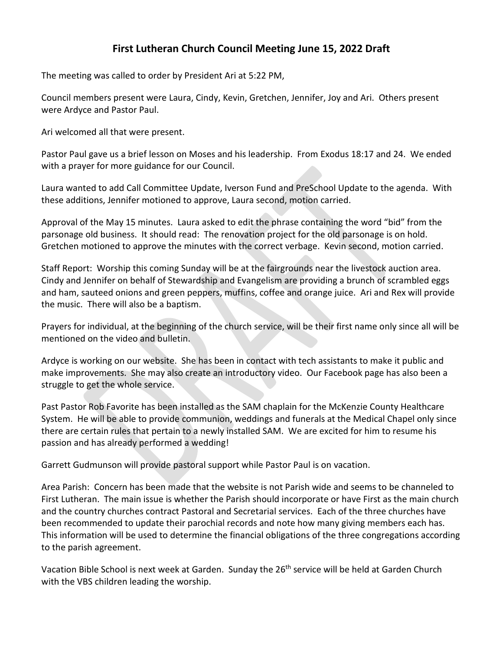## **First Lutheran Church Council Meeting June 15, 2022 Draft**

The meeting was called to order by President Ari at 5:22 PM,

Council members present were Laura, Cindy, Kevin, Gretchen, Jennifer, Joy and Ari. Others present were Ardyce and Pastor Paul.

Ari welcomed all that were present.

Pastor Paul gave us a brief lesson on Moses and his leadership. From Exodus 18:17 and 24. We ended with a prayer for more guidance for our Council.

Laura wanted to add Call Committee Update, Iverson Fund and PreSchool Update to the agenda. With these additions, Jennifer motioned to approve, Laura second, motion carried.

Approval of the May 15 minutes. Laura asked to edit the phrase containing the word "bid" from the parsonage old business. It should read: The renovation project for the old parsonage is on hold. Gretchen motioned to approve the minutes with the correct verbage. Kevin second, motion carried.

Staff Report: Worship this coming Sunday will be at the fairgrounds near the livestock auction area. Cindy and Jennifer on behalf of Stewardship and Evangelism are providing a brunch of scrambled eggs and ham, sauteed onions and green peppers, muffins, coffee and orange juice. Ari and Rex will provide the music. There will also be a baptism.

Prayers for individual, at the beginning of the church service, will be their first name only since all will be mentioned on the video and bulletin.

Ardyce is working on our website. She has been in contact with tech assistants to make it public and make improvements. She may also create an introductory video. Our Facebook page has also been a struggle to get the whole service.

Past Pastor Rob Favorite has been installed as the SAM chaplain for the McKenzie County Healthcare System. He will be able to provide communion, weddings and funerals at the Medical Chapel only since there are certain rules that pertain to a newly installed SAM. We are excited for him to resume his passion and has already performed a wedding!

Garrett Gudmunson will provide pastoral support while Pastor Paul is on vacation.

Area Parish: Concern has been made that the website is not Parish wide and seems to be channeled to First Lutheran. The main issue is whether the Parish should incorporate or have First as the main church and the country churches contract Pastoral and Secretarial services. Each of the three churches have been recommended to update their parochial records and note how many giving members each has. This information will be used to determine the financial obligations of the three congregations according to the parish agreement.

Vacation Bible School is next week at Garden. Sunday the 26<sup>th</sup> service will be held at Garden Church with the VBS children leading the worship.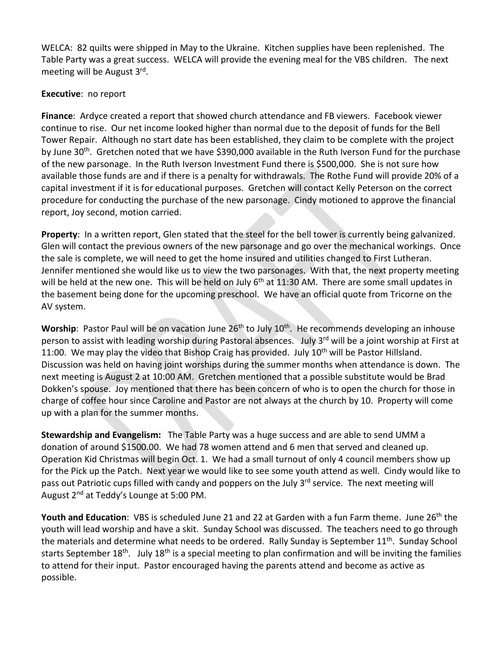WELCA: 82 quilts were shipped in May to the Ukraine. Kitchen supplies have been replenished. The Table Party was a great success. WELCA will provide the evening meal for the VBS children. The next meeting will be August 3rd.

## **Executive**: no report

**Finance**: Ardyce created a report that showed church attendance and FB viewers. Facebook viewer continue to rise. Our net income looked higher than normal due to the deposit of funds for the Bell Tower Repair. Although no start date has been established, they claim to be complete with the project by June 30<sup>th</sup>. Gretchen noted that we have \$390,000 available in the Ruth Iverson Fund for the purchase of the new parsonage. In the Ruth Iverson Investment Fund there is \$500,000. She is not sure how available those funds are and if there is a penalty for withdrawals. The Rothe Fund will provide 20% of a capital investment if it is for educational purposes. Gretchen will contact Kelly Peterson on the correct procedure for conducting the purchase of the new parsonage. Cindy motioned to approve the financial report, Joy second, motion carried.

**Property**: In a written report, Glen stated that the steel for the bell tower is currently being galvanized. Glen will contact the previous owners of the new parsonage and go over the mechanical workings. Once the sale is complete, we will need to get the home insured and utilities changed to First Lutheran. Jennifer mentioned she would like us to view the two parsonages. With that, the next property meeting will be held at the new one. This will be held on July 6<sup>th</sup> at 11:30 AM. There are some small updates in the basement being done for the upcoming preschool. We have an official quote from Tricorne on the AV system.

**Worship**: Pastor Paul will be on vacation June 26<sup>th</sup> to July 10<sup>th</sup>. He recommends developing an inhouse person to assist with leading worship during Pastoral absences. July 3<sup>rd</sup> will be a joint worship at First at 11:00. We may play the video that Bishop Craig has provided. July 10<sup>th</sup> will be Pastor Hillsland. Discussion was held on having joint worships during the summer months when attendance is down. The next meeting is August 2 at 10:00 AM. Gretchen mentioned that a possible substitute would be Brad Dokken's spouse. Joy mentioned that there has been concern of who is to open the church for those in charge of coffee hour since Caroline and Pastor are not always at the church by 10. Property will come up with a plan for the summer months.

**Stewardship and Evangelism:** The Table Party was a huge success and are able to send UMM a donation of around \$1500.00. We had 78 women attend and 6 men that served and cleaned up. Operation Kid Christmas will begin Oct. 1. We had a small turnout of only 4 council members show up for the Pick up the Patch. Next year we would like to see some youth attend as well. Cindy would like to pass out Patriotic cups filled with candy and poppers on the July 3<sup>rd</sup> service. The next meeting will August 2<sup>nd</sup> at Teddy's Lounge at 5:00 PM.

Youth and Education: VBS is scheduled June 21 and 22 at Garden with a fun Farm theme. June 26<sup>th</sup> the youth will lead worship and have a skit. Sunday School was discussed. The teachers need to go through the materials and determine what needs to be ordered. Rally Sunday is September 11<sup>th</sup>. Sunday School starts September 18<sup>th</sup>. July 18<sup>th</sup> is a special meeting to plan confirmation and will be inviting the families to attend for their input. Pastor encouraged having the parents attend and become as active as possible.